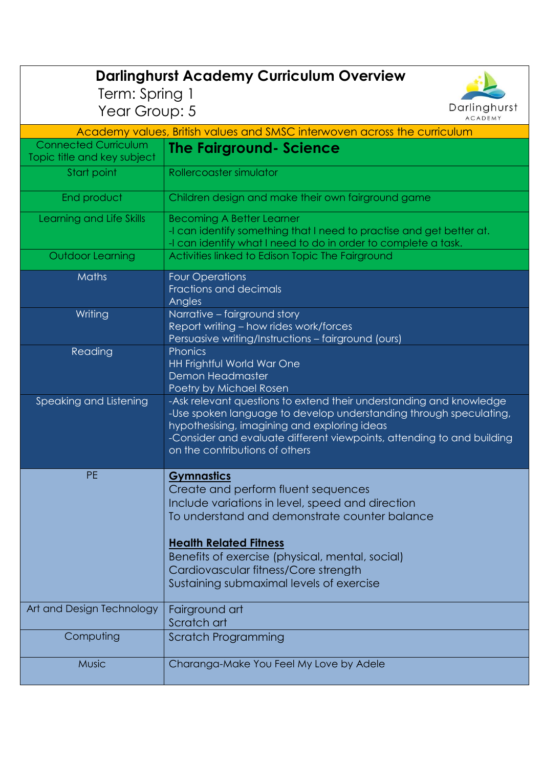| <b>Darlinghurst Academy Curriculum Overview</b>                          |                                                                                                                                                                                                                                                                                                                                       |  |
|--------------------------------------------------------------------------|---------------------------------------------------------------------------------------------------------------------------------------------------------------------------------------------------------------------------------------------------------------------------------------------------------------------------------------|--|
| Term: Spring 1                                                           | Darlinghurst                                                                                                                                                                                                                                                                                                                          |  |
| Year Group: 5<br><b>ACADEMY</b>                                          |                                                                                                                                                                                                                                                                                                                                       |  |
| Academy values, British values and SMSC interwoven across the curriculum |                                                                                                                                                                                                                                                                                                                                       |  |
| <b>Connected Curriculum</b><br>Topic title and key subject               | <b>The Fairground- Science</b>                                                                                                                                                                                                                                                                                                        |  |
| Start point                                                              | Rollercoaster simulator                                                                                                                                                                                                                                                                                                               |  |
| End product                                                              | Children design and make their own fairground game                                                                                                                                                                                                                                                                                    |  |
| Learning and Life Skills                                                 | <b>Becoming A Better Learner</b><br>-I can identify something that I need to practise and get better at.<br>-I can identify what I need to do in order to complete a task.                                                                                                                                                            |  |
| <b>Outdoor Learning</b>                                                  | Activities linked to Edison Topic The Fairground                                                                                                                                                                                                                                                                                      |  |
| Maths                                                                    | <b>Four Operations</b><br>Fractions and decimals<br>Angles                                                                                                                                                                                                                                                                            |  |
| Writing                                                                  | Narrative - fairground story<br>Report writing - how rides work/forces<br>Persuasive writing/Instructions - fairground (ours)                                                                                                                                                                                                         |  |
| Reading                                                                  | Phonics<br><b>HH Frightful World War One</b><br><b>Demon Headmaster</b><br>Poetry by Michael Rosen                                                                                                                                                                                                                                    |  |
| Speaking and Listening                                                   | -Ask relevant questions to extend their understanding and knowledge<br>-Use spoken language to develop understanding through speculating,<br>hypothesising, imagining and exploring ideas<br>-Consider and evaluate different viewpoints, attending to and building<br>on the contributions of others                                 |  |
| <b>PE</b>                                                                | <b>Gymnastics</b><br>Create and perform fluent sequences<br>Include variations in level, speed and direction<br>To understand and demonstrate counter balance<br><b>Health Related Fitness</b><br>Benefits of exercise (physical, mental, social)<br>Cardiovascular fitness/Core strength<br>Sustaining submaximal levels of exercise |  |
| Art and Design Technology                                                | Fairground art<br>Scratch art                                                                                                                                                                                                                                                                                                         |  |
| Computing                                                                | Scratch Programming                                                                                                                                                                                                                                                                                                                   |  |
| <b>Music</b>                                                             | Charanga-Make You Feel My Love by Adele                                                                                                                                                                                                                                                                                               |  |